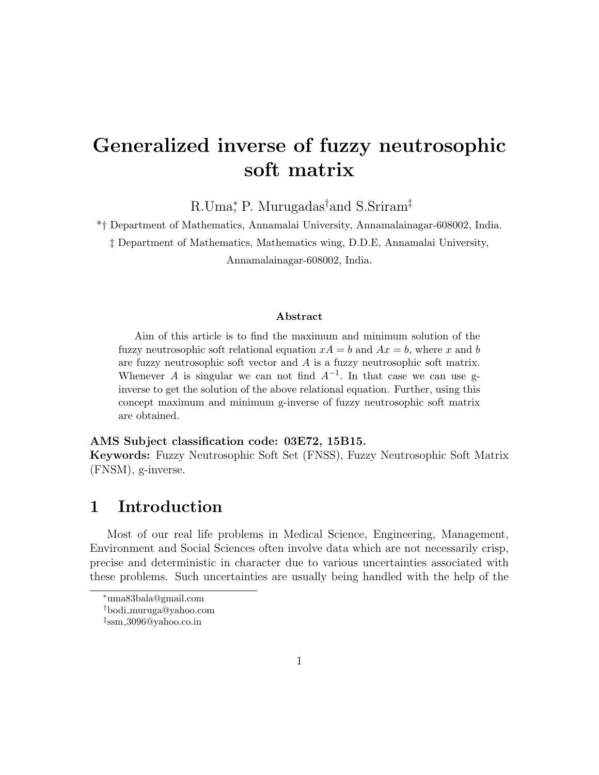# Generalized inverse of fuzzy neutrosophic soft matrix

R.Uma<sup>\*</sup>, P. Murugadas<sup>†</sup>and S.Sriram<sup>‡</sup>

\*† Department of Mathematics, Annamalai University, Annamalainagar-608002, India. ‡ Department of Mathematics, Mathematics wing, D.D.E, Annamalai University, Annamalainagar-608002, India.

#### Abstract

Aim of this article is to find the maximum and minimum solution of the fuzzy neutrosophic soft relational equation  $xA = b$  and  $Ax = b$ , where x and b are fuzzy neutrosophic soft vector and  $\tilde{A}$  is a fuzzy neutrosophic soft matrix. Whenever A is singular we can not find  $A^{-1}$ . In that case we can use ginverse to get the solution of the above relational equation. Further, using this concept maximum and minimum g-inverse of fuzzy neutrosophic soft matrix are obtained.

#### AMS Subject classification code: 03E72, 15B15.

Keywords: Fuzzy Neutrosophic Soft Set (FNSS), Fuzzy Neutrosophic Soft Matrix (FNSM), g-inverse.

### 1 Introduction

Most of our real life problems in Medical Science, Engineering, Management, Environment and Social Sciences often involve data which are not necessarily crisp, precise and deterministic in character due to various uncertainties associated with these problems. Such uncertainties are usually being handled with the help of the

<sup>∗</sup>uma83bala@gmail.com

<sup>†</sup>bodi muruga@yahoo.com

<sup>‡</sup> ssm 3096@yahoo.co.in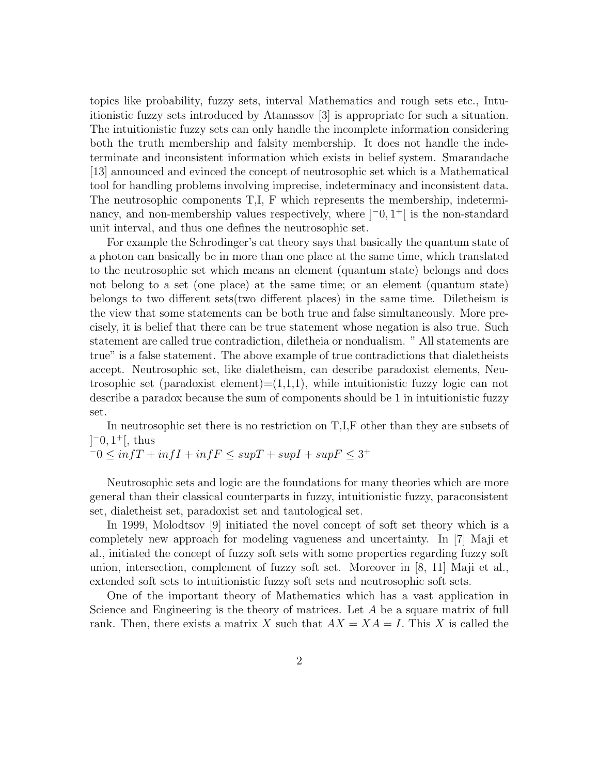topics like probability, fuzzy sets, interval Mathematics and rough sets etc., Intuitionistic fuzzy sets introduced by Atanassov [3] is appropriate for such a situation. The intuitionistic fuzzy sets can only handle the incomplete information considering both the truth membership and falsity membership. It does not handle the indeterminate and inconsistent information which exists in belief system. Smarandache [13] announced and evinced the concept of neutrosophic set which is a Mathematical tool for handling problems involving imprecise, indeterminacy and inconsistent data. The neutrosophic components T,I, F which represents the membership, indeterminancy, and non-membership values respectively, where  $[-0, 1^+]$  is the non-standard unit interval, and thus one defines the neutrosophic set.

For example the Schrodinger's cat theory says that basically the quantum state of a photon can basically be in more than one place at the same time, which translated to the neutrosophic set which means an element (quantum state) belongs and does not belong to a set (one place) at the same time; or an element (quantum state) belongs to two different sets(two different places) in the same time. Diletheism is the view that some statements can be both true and false simultaneously. More precisely, it is belief that there can be true statement whose negation is also true. Such statement are called true contradiction, diletheia or nondualism. " All statements are true" is a false statement. The above example of true contradictions that dialetheists accept. Neutrosophic set, like dialetheism, can describe paradoxist elements, Neutrosophic set (paradoxist element)= $(1,1,1)$ , while intuitionistic fuzzy logic can not describe a paradox because the sum of components should be 1 in intuitionistic fuzzy set.

In neutrosophic set there is no restriction on T,I,F other than they are subsets of  $[-0, 1^+],$  thus

$$
-0 \le \inf T + \inf I + \inf F \le \sup T + \sup I + \sup F \le 3^+
$$

Neutrosophic sets and logic are the foundations for many theories which are more general than their classical counterparts in fuzzy, intuitionistic fuzzy, paraconsistent set, dialetheist set, paradoxist set and tautological set.

In 1999, Molodtsov [9] initiated the novel concept of soft set theory which is a completely new approach for modeling vagueness and uncertainty. In [7] Maji et al., initiated the concept of fuzzy soft sets with some properties regarding fuzzy soft union, intersection, complement of fuzzy soft set. Moreover in [8, 11] Maji et al., extended soft sets to intuitionistic fuzzy soft sets and neutrosophic soft sets.

One of the important theory of Mathematics which has a vast application in Science and Engineering is the theory of matrices. Let  $A$  be a square matrix of full rank. Then, there exists a matrix X such that  $AX = XA = I$ . This X is called the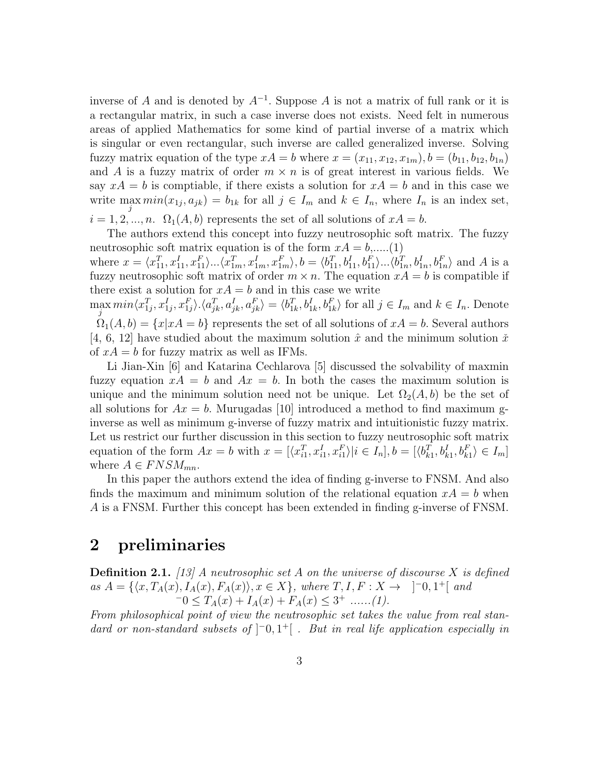inverse of A and is denoted by  $A^{-1}$ . Suppose A is not a matrix of full rank or it is a rectangular matrix, in such a case inverse does not exists. Need felt in numerous areas of applied Mathematics for some kind of partial inverse of a matrix which is singular or even rectangular, such inverse are called generalized inverse. Solving fuzzy matrix equation of the type  $xA = b$  where  $x = (x_{11}, x_{12}, x_{1m}), b = (b_{11}, b_{12}, b_{1n})$ and A is a fuzzy matrix of order  $m \times n$  is of great interest in various fields. We say  $xA = b$  is comptiable, if there exists a solution for  $xA = b$  and in this case we write  $\max_j \min(x_{1j}, a_{jk}) = b_{1k}$  for all  $j \in I_m$  and  $k \in I_n$ , where  $I_n$  is an index set,

 $i = 1, 2, ..., n$ .  $\Omega_1(A, b)$  represents the set of all solutions of  $xA = b$ .

The authors extend this concept into fuzzy neutrosophic soft matrix. The fuzzy neutrosophic soft matrix equation is of the form  $xA = b, \dots (1)$ 

where  $x = \langle x_{11}^T, x_{11}^I, x_{11}^F \rangle \dots \langle x_{1m}^T, x_{1m}^I, x_{1m}^F \rangle$ ,  $b = \langle b_{11}^T, b_{11}^I, b_{11}^F \rangle \dots \langle b_{1n}^T, b_{1n}^I, b_{1n}^F \rangle$  and A is a fuzzy neutrosophic soft matrix of order  $m \times n$ . The equation  $xA = b$  is compatible if there exist a solution for  $xA = b$  and in this case we write

 $\max_j min\langle x_{1j}^T, x_{1j}^I, x_{1j}^F \rangle \langle a_{jk}^T, a_{jk}^I, a_{jk}^F \rangle = \langle b_{1k}^T, b_{1k}^I, b_{1k}^F \rangle$  for all  $j \in I_m$  and  $k \in I_n$ . Denote  $\Omega_1(A, b) = \{x | xA = b\}$  represents the set of all solutions of  $xA = b$ . Several authors [4, 6, 12] have studied about the maximum solution  $\hat{x}$  and the minimum solution  $\check{x}$ of  $xA = b$  for fuzzy matrix as well as IFMs.

Li Jian-Xin [6] and Katarina Cechlarova [5] discussed the solvability of maxmin fuzzy equation  $xA = b$  and  $Ax = b$ . In both the cases the maximum solution is unique and the minimum solution need not be unique. Let  $\Omega_2(A, b)$  be the set of all solutions for  $Ax = b$ . Murugadas [10] introduced a method to find maximum ginverse as well as minimum g-inverse of fuzzy matrix and intuitionistic fuzzy matrix. Let us restrict our further discussion in this section to fuzzy neutrosophic soft matrix equation of the form  $Ax = b$  with  $x = [\langle x_{i1}^T, x_{i1}^I, x_{i1}^F \rangle | i \in I_n]$ ,  $b = [\langle b_{k1}^T, b_{k1}^I, b_{k1}^F \rangle \in I_m]$ where  $A \in FNSM_{mn}$ .

In this paper the authors extend the idea of finding g-inverse to FNSM. And also finds the maximum and minimum solution of the relational equation  $xA = b$  when A is a FNSM. Further this concept has been extended in finding g-inverse of FNSM.

### 2 preliminaries

**Definition 2.1.** [13] A neutrosophic set A on the universe of discourse X is defined as  $A = \{ \langle x, T_A(x), I_A(x), F_A(x) \rangle, x \in X \}$ , where  $T, I, F: X \to ]^-0, 1^+[$  and  $-0 \leq T_A(x) + I_A(x) + F_A(x) \leq 3^+ \dots (1).$ 

From philosophical point of view the neutrosophic set takes the value from real standard or non-standard subsets of  $]$ <sup>-</sup>0,1<sup>+</sup>[ . But in real life application especially in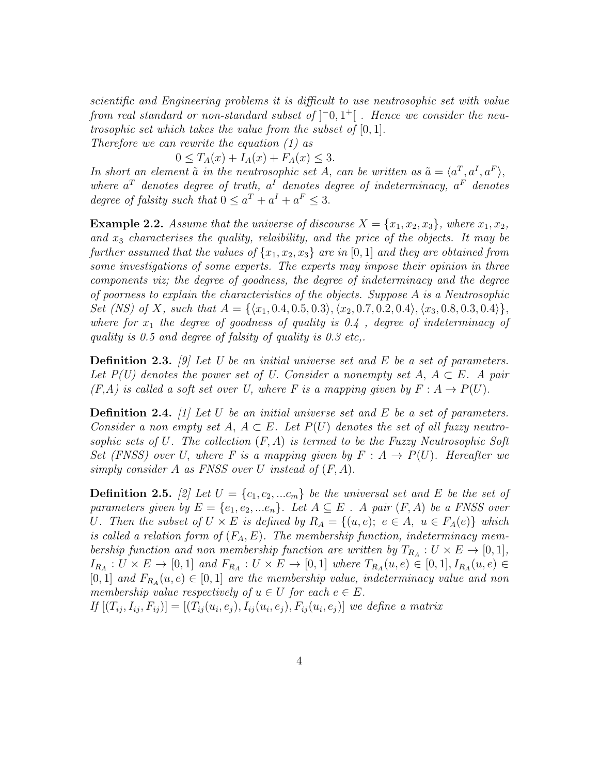scientific and Engineering problems it is difficult to use neutrosophic set with value from real standard or non-standard subset of  $\vert \bar{=}0,1^+ \vert$  . Hence we consider the neutrosophic set which takes the value from the subset of [0, 1].

Therefore we can rewrite the equation (1) as

 $0 \leq T_A(x) + I_A(x) + F_A(x) \leq 3.$ 

In short an element  $\tilde{a}$  in the neutrosophic set A, can be written as  $\tilde{a} = \langle a^T, a^I, a^F \rangle$ , where  $a^T$  denotes degree of truth,  $a^I$  denotes degree of indeterminacy,  $a^F$  denotes degree of falsity such that  $0 \le a^T + a^I + a^F \le 3$ .

**Example 2.2.** Assume that the universe of discourse  $X = \{x_1, x_2, x_3\}$ , where  $x_1, x_2$ , and  $x_3$  characterises the quality, relaibility, and the price of the objects. It may be further assumed that the values of  $\{x_1, x_2, x_3\}$  are in [0, 1] and they are obtained from some investigations of some experts. The experts may impose their opinion in three components viz; the degree of goodness, the degree of indeterminacy and the degree of poorness to explain the characteristics of the objects. Suppose  $A$  is a Neutrosophic Set (NS) of X, such that  $A = \{\langle x_1, 0.4, 0.5, 0.3 \rangle, \langle x_2, 0.7, 0.2, 0.4 \rangle, \langle x_3, 0.8, 0.3, 0.4 \rangle\},\$ where for  $x_1$  the degree of goodness of quality is 0.4, degree of indeterminacy of quality is 0.5 and degree of falsity of quality is 0.3 etc,.

**Definition 2.3.** [9] Let U be an initial universe set and E be a set of parameters. Let  $P(U)$  denotes the power set of U. Consider a nonempty set  $A, A \subseteq E$ . A pair  $(F, A)$  is called a soft set over U, where F is a mapping given by  $F : A \rightarrow P(U)$ .

**Definition 2.4.** [1] Let U be an initial universe set and E be a set of parameters. Consider a non empty set A,  $A \subseteq E$ . Let  $P(U)$  denotes the set of all fuzzy neutrosophic sets of U. The collection  $(F, A)$  is termed to be the Fuzzy Neutrosophic Soft Set (FNSS) over U, where F is a mapping given by  $F : A \rightarrow P(U)$ . Hereafter we simply consider A as FNSS over U instead of  $(F, A)$ .

**Definition 2.5.** [2] Let  $U = \{c_1, c_2, ... c_m\}$  be the universal set and E be the set of parameters given by  $E = \{e_1, e_2, ... e_n\}$ . Let  $A \subseteq E$ . A pair  $(F, A)$  be a FNSS over U. Then the subset of  $U \times E$  is defined by  $R_A = \{(u, e); e \in A, u \in F_A(e)\}\$  which is called a relation form of  $(F_A, E)$ . The membership function, indeterminacy membership function and non membership function are written by  $T_{R_A}: U \times E \to [0,1],$  $I_{R_A}: U \times E \to [0,1]$  and  $F_{R_A}: U \times E \to [0,1]$  where  $T_{R_A}(u,e) \in [0,1], I_{R_A}(u,e) \in$ [0, 1] and  $F_{R_A}(u, e) \in [0, 1]$  are the membership value, indeterminacy value and non membership value respectively of  $u \in U$  for each  $e \in E$ .

 $If [(T_{ij}, I_{ij}, F_{ij})] = [(T_{ij}(u_i, e_j), I_{ij}(u_i, e_j), F_{ij}(u_i, e_j)]$  we define a matrix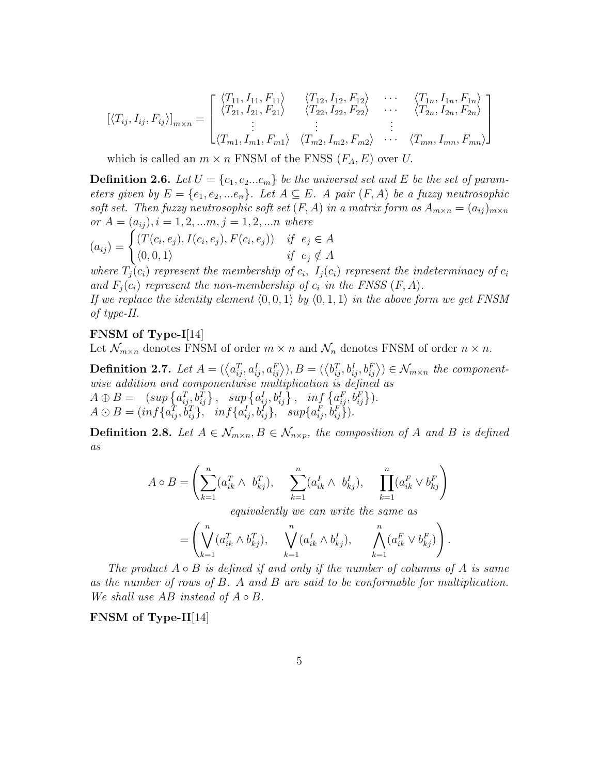$$
[\langle T_{ij}, I_{ij}, F_{ij} \rangle]_{m \times n} = \begin{bmatrix} \langle T_{11}, I_{11}, F_{11} \rangle & \langle T_{12}, I_{12}, F_{12} \rangle & \cdots & \langle T_{1n}, I_{1n}, F_{1n} \rangle \\ \langle T_{21}, I_{21}, F_{21} \rangle & \langle T_{22}, I_{22}, F_{22} \rangle & \cdots & \langle T_{2n}, I_{2n}, F_{2n} \rangle \\ \vdots & \vdots & \vdots & \vdots \\ \langle T_{m1}, I_{m1}, F_{m1} \rangle & \langle T_{m2}, I_{m2}, F_{m2} \rangle & \cdots & \langle T_{mn}, I_{mn}, F_{mn} \rangle \end{bmatrix}
$$

which is called an  $m \times n$  FNSM of the FNSS  $(F_A, E)$  over U.

**Definition 2.6.** Let  $U = \{c_1, c_2...c_m\}$  be the universal set and E be the set of parameters given by  $E = \{e_1, e_2, \dots e_n\}$ . Let  $A \subseteq E$ . A pair  $(F, A)$  be a fuzzy neutrosophic soft set. Then fuzzy neutrosophic soft set  $(F, A)$  in a matrix form as  $A_{m \times n} = (a_{ij})_{m \times n}$ or  $A = (a_{ij}), i = 1, 2, ..., j = 1, 2, ...n$  where

$$
(a_{ij}) = \begin{cases} (T(c_i, e_j), I(c_i, e_j), F(c_i, e_j)) & \text{if } e_j \in A \\ (0, 0, 1) & \text{if } e_j \notin A \end{cases}
$$

where  $T_j(c_i)$  represent the membership of  $c_i$ ,  $I_j(c_i)$  represent the indeterminacy of  $c_i$ and  $F_i(c_i)$  represent the non-membership of  $c_i$  in the FNSS  $(F, A)$ .

If we replace the identity element  $(0,0,1)$  by  $(0,1,1)$  in the above form we get FNSM of type-II.

#### FNSM of Type-I[14]

Let  $\mathcal{N}_{m \times n}$  denotes FNSM of order  $m \times n$  and  $\mathcal{N}_n$  denotes FNSM of order  $n \times n$ .

**Definition 2.7.** Let  $A = (\langle a_{ij}^T, a_{ij}^I, a_{ij}^F \rangle), B = (\langle b_{ij}^T, b_{ij}^I, b_{ij}^F \rangle) \in \mathcal{N}_{m \times n}$  the componentwise addition and componentwise multiplication is defined as  $A \oplus B = ( \sup \{a_{ij}^T, b_{ij}^T\}, \sup \{a_{ij}^I, b_{ij}^I\}, \inf \{a_{ij}^F, b_{ij}^F\}).$  $A \odot B = (inf\{a_{ij}^T, \dot{b}_{ij}^T\}, \quad inf\{a_{ij}^I, b_{ij}^I\}, \quad supp\{a_{ij}^F, \dot{b}_{ij}^F\}).$ 

**Definition 2.8.** Let  $A \in \mathcal{N}_{m \times n}$ ,  $B \in \mathcal{N}_{n \times p}$ , the composition of A and B is defined as

$$
A \circ B = \left( \sum_{k=1}^{n} (a_{ik}^{T} \wedge b_{kj}^{T}), \sum_{k=1}^{n} (a_{ik}^{I} \wedge b_{kj}^{I}), \prod_{k=1}^{n} (a_{ik}^{F} \vee b_{kj}^{F}) \right)
$$

equivalently we can write the same as

$$
= \left( \bigvee_{k=1}^{n} (a_{ik}^{T} \wedge b_{kj}^{T}), \quad \bigvee_{k=1}^{n} (a_{ik}^{I} \wedge b_{kj}^{I}), \quad \bigwedge_{k=1}^{n} (a_{ik}^{F} \vee b_{kj}^{F}) \right).
$$

The product  $A \circ B$  is defined if and only if the number of columns of A is same as the number of rows of  $B$ . A and  $B$  are said to be conformable for multiplication. We shall use  $AB$  instead of  $A \circ B$ .

FNSM of Type-II[14]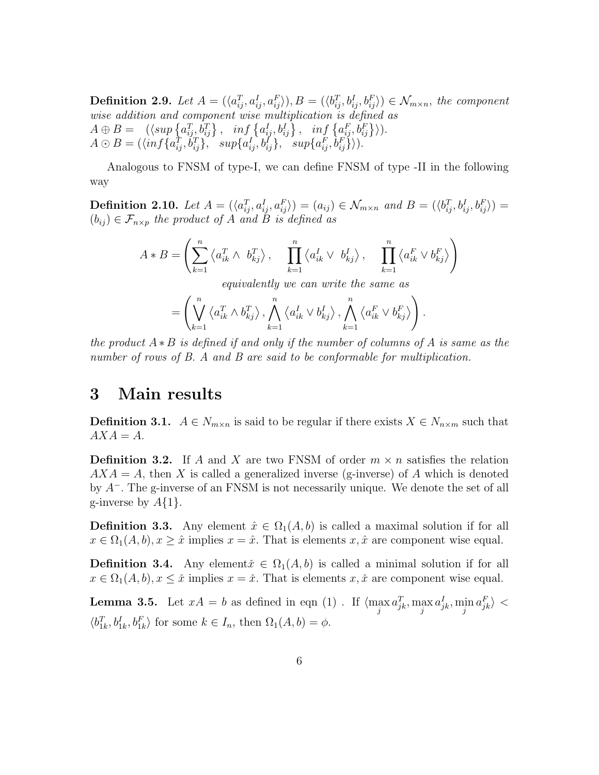**Definition 2.9.** Let  $A = (\langle a_{ij}^T, a_{ij}^I, a_{ij}^F \rangle), B = (\langle b_{ij}^T, b_{ij}^I, b_{ij}^F \rangle) \in \mathcal{N}_{m \times n}$ , the component wise addition and component wise multiplication is defined as  $A \oplus B = \left( \langle \sup \{a_{ij}^T, b_{ij}^T\} \right), \quad \inf \left\{a_{ij}^I, b_{ij}^I\right\}, \quad \inf \left\{a_{ij}^F, b_{ij}^F\right\} \rangle.$  $A \odot B = (\langle \inf \{a_{ij}^T, \dot{b}_{ij}^T\}, \mathcal{S} \text{supp}\{a_{ij}^T, \dot{b}_{ij}^T\}, \mathcal{S} \text{supp}\{a_{ij}^F, \dot{b}_{ij}^F\} ).$ 

Analogous to FNSM of type-I, we can define FNSM of type -II in the following way

**Definition 2.10.** Let  $A = (\langle a_{ij}^T, a_{ij}^I, a_{ij}^F \rangle) = (a_{ij}) \in \mathcal{N}_{m \times n}$  and  $B = (\langle b_{ij}^T, b_{ij}^I, b_{ij}^F \rangle) =$  $(b_{ij}) \in \mathcal{F}_{n \times p}$  the product of A and B is defined as

$$
A * B = \left(\sum_{k=1}^{n} \left\langle a_{ik}^T \wedge b_{kj}^T \right\rangle, \quad \prod_{k=1}^{n} \left\langle a_{ik}^I \vee b_{kj}^I \right\rangle, \quad \prod_{k=1}^{n} \left\langle a_{ik}^F \vee b_{kj}^F \right\rangle\right)
$$

equivalently we can write the same as

$$
= \left( \bigvee_{k=1}^n \left\langle a_{ik}^T \wedge b_{kj}^T \right\rangle, \bigwedge_{k=1}^n \left\langle a_{ik}^I \vee b_{kj}^I \right\rangle, \bigwedge_{k=1}^n \left\langle a_{ik}^F \vee b_{kj}^F \right\rangle \right).
$$

the product  $A * B$  is defined if and only if the number of columns of A is same as the number of rows of B. A and B are said to be conformable for multiplication.

### 3 Main results

**Definition 3.1.**  $A \in N_{m \times n}$  is said to be regular if there exists  $X \in N_{n \times m}$  such that  $AXA = A.$ 

**Definition 3.2.** If A and X are two FNSM of order  $m \times n$  satisfies the relation  $AXA = A$ , then X is called a generalized inverse (g-inverse) of A which is denoted by  $A^-$ . The g-inverse of an FNSM is not necessarily unique. We denote the set of all g-inverse by  $A\{1\}$ .

**Definition 3.3.** Any element  $\hat{x} \in \Omega_1(A, b)$  is called a maximal solution if for all  $x \in \Omega_1(A, b), x \geq \hat{x}$  implies  $x = \hat{x}$ . That is elements  $x, \hat{x}$  are component wise equal.

**Definition 3.4.** Any element $\check{x} \in \Omega_1(A, b)$  is called a minimal solution if for all  $x \in \Omega_1(A, b), x \leq \tilde{x}$  implies  $x = \tilde{x}$ . That is elements  $x, \tilde{x}$  are component wise equal.

**Lemma 3.5.** Let  $xA = b$  as defined in eqn (1). If  $\langle \max_{j} a_{jk}^T, \max_{j} a_{jk}^I, \min_{j} a_{jk}^F \rangle <$  $\langle b_{1k}^T, b_{1k}^I, b_{1k}^F \rangle$  for some  $k \in I_n$ , then  $\Omega_1(A, b) = \phi$ .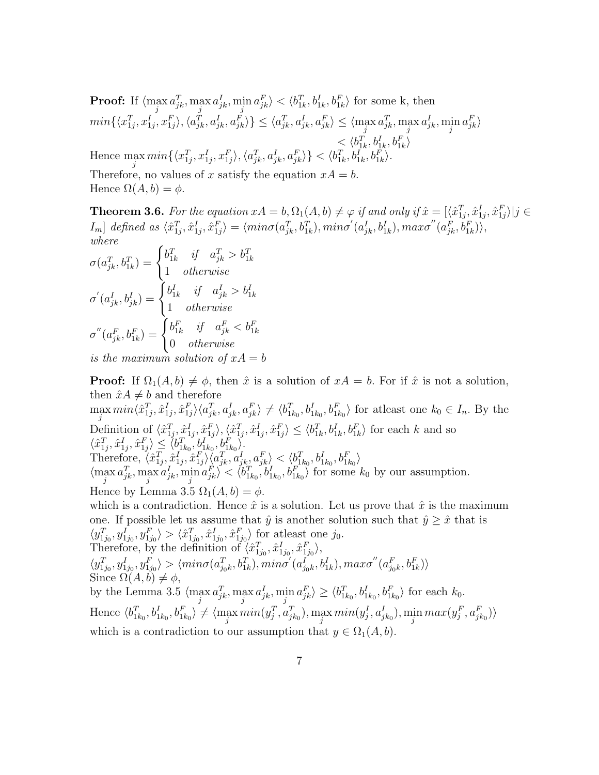**Proof:** If  $\langle \max a_{jk}^T, \max a_{jk}^T, \min a_{jk}^F \rangle < \langle b_{1k}^T, b_{1k}^T, b_{1k}^F \rangle$  for some k, then  $j \qquad J^{\kappa} \qquad j \qquad J^{\kappa} \qquad j$  $min\{\langle x_{1j}^T, x_{1j}^I, x_{1j}^F\rangle, \langle a_{jk}^T, a_{jk}^I, a_{jk}^F\rangle\} \leq \langle a_{jk}^T, a_{jk}^I, a_{jk}^F\rangle \leq \langle \max_j a_{jk}^T, \max_j a_{jk}^I, \min_j a_{jk}^F\rangle$  $\leq \langle b_{1k}^T, b_{1k}^I, b_{1k}^F \rangle$ Hence  $\max_j min\{\langle x_{1j}^T, x_{1j}^I, x_{1j}^F \rangle, \langle a_{jk}^T, a_{jk}^I, a_{jk}^F \rangle\} < \langle b_{1k}^T, b_{1k}^I, b_{1k}^F \rangle$  $1<sub>k</sub>$ ⟩. Therefore, no values of x satisfy the equation  $xA = b$ . Hence  $\Omega(A, b) = \phi$ .

**Theorem 3.6.** For the equation  $xA = b, \Omega_1(A, b) \neq \varphi$  if and only if  $\hat{x} = [\langle \hat{x}_{1j}^T, \hat{x}_{1j}^I, \hat{x}_{1j}^F \rangle | j \in \varphi]$  $I_m$ ] defined as  $\langle \hat{x}_{1j}^T, \hat{x}_{1j}^T, \hat{x}_{1j}^F \rangle = \langle min\sigma(a_{jk}^T, b_{1k}^T), min\sigma'(a_{jk}^I, b_{1k}^I), max\sigma''(a_{jk}^F, b_{1k}^F) \rangle$ where

$$
\sigma(a_{jk}^T, b_{1k}^T) = \begin{cases} b_{1k}^T & \text{if} \quad a_{jk}^T > b_{1k}^T \\ 1 & \text{otherwise} \end{cases}
$$

$$
\sigma'(a_{jk}^I, b_{jk}^I) = \begin{cases} b_{1k}^I & \text{if} \quad a_{jk}^I > b_{1k}^I \\ 1 & \text{otherwise} \end{cases}
$$

$$
\sigma''(a_{jk}^F, b_{1k}^F) = \begin{cases} b_{1k}^F & \text{if} \quad a_{jk}^F < b_{1k}^F \\ 0 & \text{otherwise} \end{cases}
$$

is the maximum solution of  $xA = b$ 

**Proof:** If  $\Omega_1(A, b) \neq \emptyset$ , then  $\hat{x}$  is a solution of  $xA = b$ . For if  $\hat{x}$  is not a solution, then  $\hat{x}A \neq b$  and therefore  $\max_j min \langle \hat{x}_{1j}^T, \hat{x}_{1j}^F, \hat{x}_{1j}^F \rangle \langle a_{jk}^T, a_{jk}^I, a_{jk}^F \rangle \neq \langle b_{1k_0}^T, b_{1k_0}^F, b_{1k_0}^F \rangle$  for at least one  $k_0 \in I_n$ . By the Definition of  $\langle \hat{x}_{1j}^T, \hat{x}_{1j}^I, \hat{x}_{1j}^F \rangle, \langle \hat{x}_{1j}^T, \hat{x}_{1j}^I, \hat{x}_{1j}^F \rangle \le \langle b_{1k}^T, b_{1k}^I, b_{1k}^F \rangle$  for each k and so  $\langle \hat{x}_{1j}^T, \hat{x}_{1j}^I, \hat{x}_{1j}^F \rangle \leq \langle b_{1k_0}^T, b_{1k_0}^I, b_{1k_0}^F \rangle.$ Therefore,  $\langle \hat{x}_{1j}^T, \hat{x}_{1j}^I, \hat{x}_{1j}^F \rangle \langle a_{jk}^T, a_{jk}^I, a_{jk}^F \rangle \langle a_{jk}^F, a_{jk}^F \rangle \langle b_{1k_0}^T, b_{1k_0}^I, b_{1k_0}^F \rangle$  $\langle \max_{j} a_{jk}^T, \max_{j} a_{jk}^T, \min_{j} a_{jk}^F \rangle < \langle b_{1k_0}^T, b_{1k_0}^T, b_{1k_0}^F \rangle$  for some  $k_0$  by our assumption. Hence by Lemma 3.5  $\Omega_1(A, b) = \phi$ . which is a contradiction. Hence  $\hat{x}$  is a solution. Let us prove that  $\hat{x}$  is the maximum one. If possible let us assume that  $\hat{y}$  is another solution such that  $\hat{y} \geq \hat{x}$  that is  $\langle y_{1j_0}^T, y_{1j_0}^I, y_{1j_0}^F \rangle > \langle \hat{x}_{1j_0}^T, \hat{x}_{1j_0}^I, \hat{x}_{1j_0}^F \rangle$  for at least one jo. Therefore, by the definition of  $\langle \hat{x}_{1j_0}^T, \hat{x}_{1j_0}^I, \hat{x}_{1j_0}^F \rangle$ ,  $\langle y_{1j_0}^T, y_{1j_0}^I, y_{1j_0}^F \rangle > \langle min\sigma(a_{j_0k}^T, b_{1k}^T), min\sigma'(a_{j_0k}^I, b_{1k}^I), max\sigma''(a_{j_0k}^F, b_{1k}^F) \rangle$ Since  $\Omega(A, b) \neq \phi$ , by the Lemma 3.5  $\langle \max_{j} a_{jk}^T, \max_{j} a_{jk}^T, \min_{j} a_{jk}^F \rangle \ge \langle b_{1k_0}^T, b_{1k_0}^T, b_{1k_0}^F \rangle$  for each  $k_0$ . Hence  $\langle b_{1k_0}^T, b_{1k_0}^T, b_{1k_0}^T \rangle \neq \langle \max_j min(y_j^T, a_{jk_0}^T), \max_j min(y_j^I, a_{jk_0}^I), \min_j max(y_j^F, a_{jk_0}^F) \rangle$ 

which is a contradiction to our assumption that  $y \in \Omega_1(A, b)$ .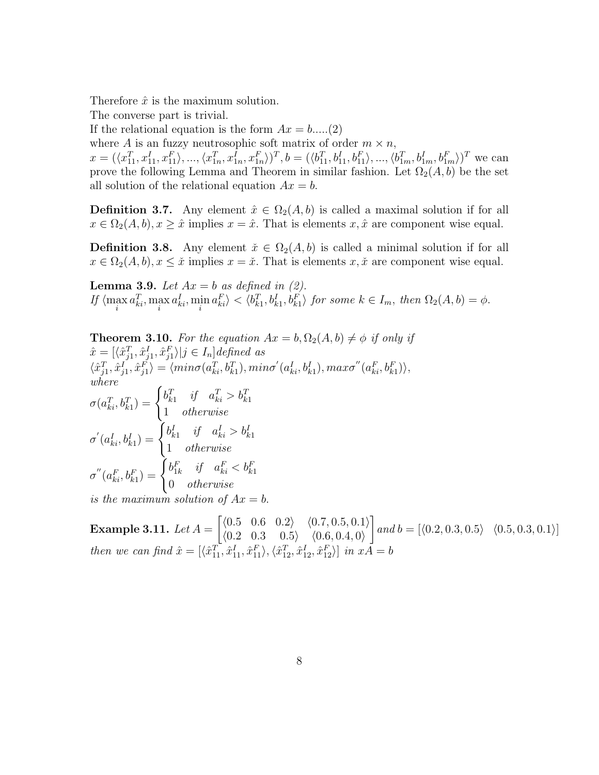Therefore  $\hat{x}$  is the maximum solution.

The converse part is trivial.

If the relational equation is the form  $Ax = b$ .....(2)

where A is an fuzzy neutrosophic soft matrix of order  $m \times n$ ,

 $x = (\langle x_{11}^T, x_{11}^I, x_{11}^F, \dots, \langle x_{1n}^T, x_{1n}^I, x_{1n}^F \rangle)^T$ ,  $b = (\langle b_{11}^T, b_{11}^I, b_{11}^F, \dots, \langle b_{1m}^T, b_{1m}^I, b_{1m}^F \rangle)^T$  we can prove the following Lemma and Theorem in similar fashion. Let  $\Omega_2(A, b)$  be the set all solution of the relational equation  $Ax = b$ .

**Definition 3.7.** Any element  $\hat{x} \in \Omega_2(A, b)$  is called a maximal solution if for all  $x \in \Omega_2(A, b), x \geq \hat{x}$  implies  $x = \hat{x}$ . That is elements  $x, \hat{x}$  are component wise equal.

**Definition 3.8.** Any element  $\check{x} \in \Omega_2(A, b)$  is called a minimal solution if for all  $x \in \Omega_2(A, b), x \leq \tilde{x}$  implies  $x = \tilde{x}$ . That is elements  $x, \tilde{x}$  are component wise equal.

**Lemma 3.9.** Let  $Ax = b$  as defined in (2). If  $\langle \max_i a_{ki}^T, \max_i a_{ki}^I, \min_i a_{ki}^F \rangle < \langle b_{ki}^T, b_{ki}^I, b_{ki}^F \rangle$  for some  $k \in I_m$ , then  $\Omega_2(A, b) = \phi$ .

**Theorem 3.10.** For the equation 
$$
Ax = b
$$
,  $\Omega_2(A, b) \neq \phi$  if only if  
\n
$$
\hat{x} = [\langle \hat{x}_{j1}^T, \hat{x}_{j1}^L, \hat{x}_{j1}^F \rangle | j \in I_n] defined as
$$
\n
$$
\langle \hat{x}_{j1}^T, \hat{x}_{j1}^L, \hat{x}_{j1}^F \rangle = \langle \min \sigma(a_{ki}^T, b_{k1}^T), \min \sigma'(a_{ki}^L, b_{k1}^L), \max \sigma'(a_{ki}^F, b_{k1}^F) \rangle,
$$
\nwhere  
\n
$$
\sigma(a_{ki}^T, b_{k1}^T) = \begin{cases} b_{k1}^T & \text{if } a_{ki}^T > b_{k1}^T \\ 1 & \text{otherwise} \end{cases}
$$
\n
$$
\sigma'(a_{ki}^L, b_{k1}^L) = \begin{cases} b_{k1}^L & \text{if } a_{ki}^L > b_{k1}^L \\ 1 & \text{otherwise} \end{cases}
$$
\n
$$
\sigma''(a_{ki}^F, b_{k1}^F) = \begin{cases} b_{1k}^F & \text{if } a_{ki}^F < b_{k1}^F \\ 0 & \text{otherwise} \end{cases}
$$
\nis the maximum solution of  $Ax = b$ .

Example 3.11. Let  $A=$  $\begin{bmatrix} \langle 0.5 & 0.6 & 0.2 \rangle & \langle 0.7, 0.5, 0.1 \rangle \end{bmatrix}$  $\langle 0.2 \quad 0.3 \quad 0.5 \rangle \quad \langle 0.6, 0.4, 0 \rangle$ ] and  $b = [\langle 0.2, 0.3, 0.5 \rangle \ \langle 0.5, 0.3, 0.1 \rangle]$ then we can find  $\hat{x} = [\langle \hat{x}_{11}^T, \hat{x}_{11}^I, \hat{x}_{11}^F \rangle, \langle \hat{x}_{12}^T, \hat{x}_{12}^I, \hat{x}_{12}^F \rangle]$  in  $xA = b$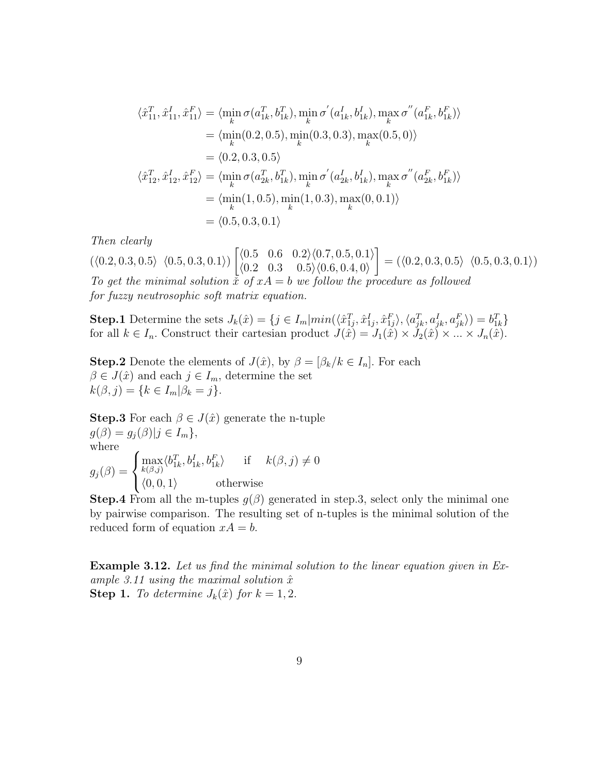$$
\langle \hat{x}_{11}^T, \hat{x}_{11}^I, \hat{x}_{11}^F \rangle = \langle \min_k \sigma(a_{1k}^T, b_{1k}^T), \min_k \sigma'(a_{1k}^I, b_{1k}^I), \max_k \sigma''(a_{1k}^F, b_{1k}^F) \rangle \n= \langle \min_k(0.2, 0.5), \min_k(0.3, 0.3), \max_k(0.5, 0) \rangle \n= \langle 0.2, 0.3, 0.5 \rangle \langle \hat{x}_{12}^T, \hat{x}_{12}^I, \hat{x}_{12}^F \rangle = \langle \min_k \sigma(a_{2k}^T, b_{1k}^T), \min_k \sigma'(a_{2k}^I, b_{1k}^I), \max_k \sigma''(a_{2k}^F, b_{1k}^F) \rangle \n= \langle \min_k(1, 0.5), \min_k(1, 0.3), \max_k(0, 0.1) \rangle \n= \langle 0.5, 0.3, 0.1 \rangle
$$

Then clearly

 $(\langle 0.2, 0.3, 0.5 \rangle \langle 0.5, 0.3, 0.1 \rangle)$  $\left[ \langle 0.5 \quad 0.6 \quad 0.2 \rangle \langle 0.7, 0.5, 0.1 \rangle \right]$  $\langle 0.2 \quad 0.3 \quad 0.5 \rangle \langle 0.6, 0.4, 0 \rangle$ ]  $= (\langle 0.2, 0.3, 0.5 \rangle \langle 0.5, 0.3, 0.1 \rangle)$ To get the minimal solution  $\bar{x}$  of  $xA = b$  we follow the procedure as followed for fuzzy neutrosophic soft matrix equation.

Step.1 Determine the sets  $J_k(\hat{x}) = \{ j \in I_m | min(\langle \hat{x}_{1j}^T, \hat{x}_{1j}^I, \hat{x}_{1j}^F \rangle, \langle a_{jk}^T, a_{jk}^I, a_{jk}^F \rangle) = b_{1k}^T \}$ for all  $k \in I_n$ . Construct their cartesian product  $J(\hat{x}) = J_1(\hat{x}) \times J_2(\hat{x}) \times ... \times J_n(\hat{x})$ .

**Step.2** Denote the elements of  $J(\hat{x})$ , by  $\beta = [\beta_k / k \in I_n]$ . For each  $\beta \in J(\hat{x})$  and each  $j \in I_m$ , determine the set  $k(\beta, j) = \{k \in I_m | \beta_k = j\}.$ 

**Step.3** For each  $\beta \in J(\hat{x})$  generate the n-tuple  $g(\beta) = g_i(\beta) | j \in I_m$ , where  $g_j(\beta) =$  $\Gamma$  $\int$  $\overline{a}$  $\max_{k(\beta,j)} \langle b_{1k}^T, b_{1k}^I, b_{1k}^F \rangle$  if  $k(\beta, j) \neq 0$  $\langle 0, 0, 1 \rangle$  otherwise

**Step.4** From all the m-tuples  $g(\beta)$  generated in step.3, select only the minimal one by pairwise comparison. The resulting set of n-tuples is the minimal solution of the reduced form of equation  $xA = b$ .

Example 3.12. Let us find the minimal solution to the linear equation given in Example 3.11 using the maximal solution  $\hat{x}$ **Step 1.** To determine  $J_k(\hat{x})$  for  $k = 1, 2$ .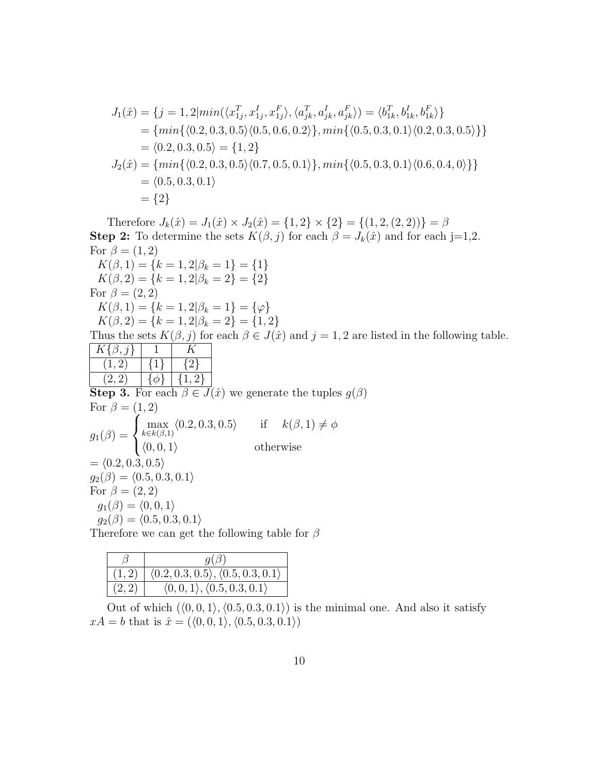$$
J_1(\hat{x}) = \{j = 1, 2 | min(\langle x_{1j}^T, x_{1j}^I, x_{1j}^F \rangle, \langle a_{jk}^T, a_{jk}^I, a_{jk}^F \rangle) = \langle b_{1k}^T, b_{1k}^I, b_{1k}^F \rangle\}
$$
  
= {min{ (0.2, 0.3, 0.5) (0.5, 0.6, 0.2) }, min{ (0.5, 0.3, 0.1) (0.2, 0.3, 0.5) } }  
= \langle 0.2, 0.3, 0.5 \rangle = \{1, 2\}  
J\_2(\hat{x}) = {min{\ (0.2, 0.3, 0.5) (0.7, 0.5, 0.1) }, min{\ (0.5, 0.3, 0.1) (0.6, 0.4, 0) } }  
= \langle 0.5, 0.3, 0.1 \rangle  
= \{2\}

Therefore  $J_k(\hat{x}) = J_1(\hat{x}) \times J_2(\hat{x}) = \{1, 2\} \times \{2\} = \{(1, 2, (2, 2))\} = \beta$ **Step 2:** To determine the sets  $K(\beta, j)$  for each  $\beta = J_k(\hat{x})$  and for each j=1,2. For  $\beta = (1, 2)$  $K(\beta, 1) = \{k = 1, 2 | \beta_k = 1\} = \{1\}$  $K(\beta, 2) = \{k = 1, 2 | \beta_k = 2\} = \{2\}$ For  $\beta = (2, 2)$  $K(\beta, 1) = \{k = 1, 2 | \beta_k = 1\} = \{\varphi\}$  $K(\beta, 2) = \{k = 1, 2 | \beta_k = 2\} = \{1, 2\}$ Thus the sets  $K(\beta, j)$  for each  $\beta \in J(\hat{x})$  and  $j = 1, 2$  are listed in the following table.  $K\{\beta,j\}$  1  $K$  $(1, 2)$   $\{1\}$   $\{2\}$  $(2, 2)$   $\{\phi\}$   $\{1, 2\}$ **Step 3.** For each  $\beta \in J(\hat{x})$  we generate the tuples  $g(\beta)$ For  $\beta = (1, 2)$  $g_1(\beta) =$  $\sqrt{ }$  $\int$  $\overline{a}$  $\max_{k \in k(\beta,1)} \langle 0.2, 0.3, 0.5 \rangle$  if  $k(\beta,1) \neq \emptyset$  $\langle 0, 0, 1 \rangle$  otherwise  $= \langle 0.2, 0.3, 0.5 \rangle$  $g_2(\beta) = (0.5, 0.3, 0.1)$ For  $\beta = (2, 2)$  $g_1(\beta) = \langle 0, 0, 1 \rangle$  $g_2(\beta) = (0.5, 0.3, 0.1)$ Therefore we can get the following table for  $\beta$ 

|        | $q(\beta)$                                              |
|--------|---------------------------------------------------------|
| (1, 2) | (0.2, 0.3, 0.5), (0.5, 0.3, 0.1)                        |
| (2, 2) | $\langle 0,0,1 \rangle$ , $\langle 0.5,0.3,0.1 \rangle$ |

Out of which  $(\langle 0, 0, 1 \rangle, \langle 0.5, 0.3, 0.1 \rangle)$  is the minimal one. And also it satisfy  $xA = b$  that is  $\hat{x} = (\langle 0, 0, 1 \rangle, \langle 0.5, 0.3, 0.1 \rangle)$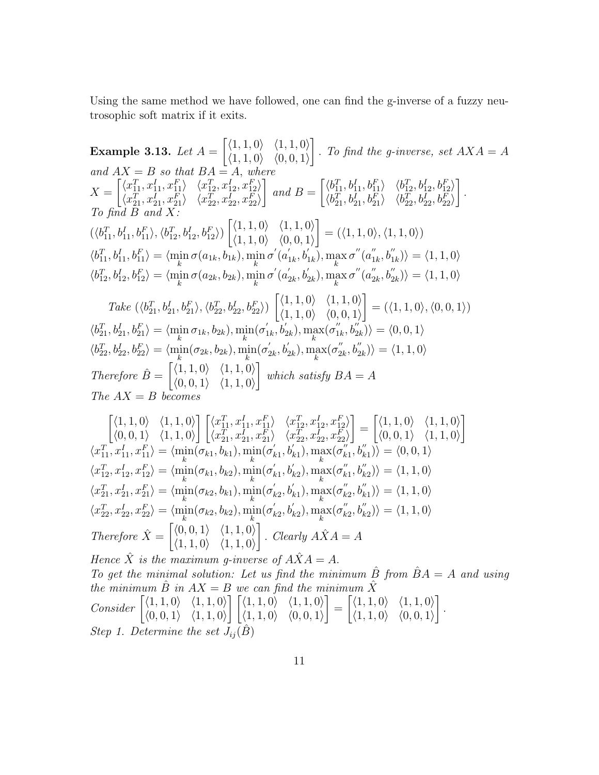Using the same method we have followed, one can find the g-inverse of a fuzzy neutrosophic soft matrix if it exits.

Example 3.13. Let  $A =$  $\left[ \langle 1, 1, 0 \rangle \right] \langle 1, 1, 0 \rangle$  $\langle 1, 1, 0 \rangle \quad \langle 0, 0, 1 \rangle$ ] . To find the g-inverse, set  $AXA = A$ and  $AX = B$  so that  $BA = A$ , where  $X =$  $\left[ \langle x_{11}^T, x_{11}^I, x_{11}^F \rangle \right] \langle x_{12}^T, x_{12}^I, x_{12}^F \rangle$  $\langle x^T_{21}, x^I_{21}, x^F_{21} \rangle \quad \langle x^T_{22}, x^I_{22}, x^F_{22} \rangle$ ] and  $B =$  $\left[ \langle b_{11}^T, b_{11}^I, b_{11}^F \rangle \right] \langle b_{12}^T, b_{12}^I, b_{12}^F \rangle$  $\langle b_{21}^T, b_{21}^I, b_{21}^F \rangle \quad \langle b_{22}^T, b_{22}^I, b_{22}^F \rangle$ ] . To find  $B$  and  $X$ :  $(\langle b_{11}^T, b_{11}^I, b_{11}^F \rangle, \langle b_{12}^T, b_{12}^I, b_{12}^F \rangle)$  $\left[ \langle 1, 1, 0 \rangle \right] \langle 1, 1, 0 \rangle$  $\langle 1, 1, 0 \rangle$   $\langle 0, 0, 1 \rangle$ ]  $= (\langle 1, 1, 0 \rangle, \langle 1, 1, 0 \rangle)$  $\langle b_{11}^T, b_{11}^I, b_{11}^F \rangle = \langle \min_k \sigma(a_{1k}, b_{1k}), \min_k \sigma'(a_1^T) \rangle$  $\sum_{1k}^{\prime}, b_{1k}^{\prime}, \sum_{k}^{\prime}, \max_{k} \sigma^{''}(a_1^{''})$  $\langle \mathbf{x}_1^{\prime\prime},\mathbf{b}_{1k}^{\prime\prime}\rangle\rangle=\langle 1,1,0\rangle$  $\langle b_{12}^T, b_{12}^I, b_{12}^F \rangle = \langle \min_k \sigma(a_{2k}, b_{2k}), \min_k \sigma'(a_2^T) \rangle$  $a'_{2k}, b'_{2k}), \max_{k} \sigma^{''}(a''_{2})$  $\langle \psi_{2k}^{\prime},b_{2k}^{\prime\prime}\rangle\rangle=\langle 1,1,0\rangle$  $Take \left( \langle b_{21}^{T}, b_{21}^{I}, b_{21}^{F} \rangle, \langle b_{22}^{T}, b_{22}^{I}, b_{22}^{F} \rangle \right)$  $\left[ \langle 1, 1, 0 \rangle \right] \langle 1, 1, 0 \rangle$  $\langle 1, 1, 0 \rangle$   $\langle 0, 0, 1 \rangle$ ]  $= (\langle 1, 1, 0 \rangle, \langle 0, 0, 1 \rangle)$  $\langle b_{21}^T, b_{21}^I, b_{21}^F \rangle = \langle \min_k \sigma_{1k}, b_{2k} \rangle, \min_k(\sigma'_1)$  $\sum'_{1k}$ ,  $b'_{2k}$ ),  $\max_k(\sigma''_1)$  $\langle u_{1k}^{\prime\prime},b_{2k}^{\prime\prime}\rangle\rangle=\langle 0,0,1\rangle$  $\langle b_{22}^T, b_{22}^I, b_{22}^F \rangle = \langle \min_k(\sigma_{2k}, b_{2k}), \min_k(\sigma'_2) \rangle$  $\mathcal{L}_{2k}^{\prime}, \mathcal{b}_{2k}^{\prime}), \max_k(\sigma_2^{\prime\prime})$  $\langle \zeta_{2k}'',b_{2k}''\rangle\rangle = \langle 1,1,0\rangle$ Therefore  $\hat{B} = \begin{bmatrix} \langle 1, 1, 0 \rangle & \langle 1, 1, 0 \rangle \\ \langle 0, 0, 1 \rangle & \langle 1, 1, 0 \rangle \end{bmatrix}$  $\langle 0, 0, 1 \rangle$   $\langle 1, 1, 0 \rangle$ ] which satisfy  $BA = A$ The  $AX = B$  becomes  $\tau$ 

$$
\begin{bmatrix}\n\langle 1,1,0 \rangle & \langle 1,1,0 \rangle \\
\langle 0,0,1 \rangle & \langle 1,1,0 \rangle\n\end{bmatrix}\n\begin{bmatrix}\n\langle x_{11}^T, x_{11}^I, x_{11}^F \rangle & \langle x_{12}^T, x_{12}^I, x_{12}^F \rangle \\
\langle x_{21}^T, x_{21}^I, x_{21}^I, x_{22}^F \rangle & \langle x_{22}^T, x_{22}^I, x_{22}^F \rangle\n\end{bmatrix} = \n\begin{bmatrix}\n\langle 1,1,0 \rangle & \langle 1,1,0 \rangle \\
\langle 0,0,1 \rangle & \langle 1,1,0 \rangle\n\end{bmatrix}
$$
\n
$$
\langle x_{11}^T, x_{11}^I, x_{11}^F \rangle = \langle \min_k(\sigma_{k1}, b_{k1}), \min_k(\sigma_{k1}', b_{k1}^I), \max_k(\sigma_{k1}', b_{k1}^{\prime}) \rangle = \langle 0,0,1 \rangle
$$
\n
$$
\langle x_{12}^T, x_{12}^I, x_{12}^F \rangle = \langle \min_k(\sigma_{k1}, b_{k2}), \min_k(\sigma_{k1}', b_{k2}^I), \max_k(\sigma_{k1}', b_{k2}^{\prime}) \rangle = \langle 1,1,0 \rangle
$$
\n
$$
\langle x_{21}^T, x_{21}^I, x_{21}^F \rangle = \langle \min_k(\sigma_{k2}, b_{k1}), \min_k(\sigma_{k2}', b_{k1}^I), \max_k(\sigma_{k2}', b_{k1}^{\prime}) \rangle = \langle 1,1,0 \rangle
$$
\n
$$
\langle x_{22}^T, x_{22}^I, x_{22}^F \rangle = \langle \min_k(\sigma_{k2}, b_{k2}), \min_k(\sigma_{k2}', b_{k2}^I), \max_k(\sigma_{k2}', b_{k2}^{\prime}) \rangle = \langle 1,1,0 \rangle
$$
\n
$$
\langle x_{22}^T, x_{22}^I, x_{22}^F \rangle = \langle \min_k(\sigma_{k2}, b_{k2}), \min_k(\sigma_{k2}', b_{k2}^I), \max_k(\sigma_{k2}', b_{k2}^{\prime}) \rangle = \langle 1,1,0 \rangle
$$
\n<

To get the minimal solution: Let us find the minimum  $\hat{B}$  from  $\hat{B}A = A$  and using the minimum  $\hat{B}$  in  $AX = B$  we can find the minimum  $\hat{X}$ Consider  $\begin{bmatrix} \langle 1,1,0 \rangle & \langle 1,1,0 \rangle \\ \langle 0,0,1 \rangle & \langle 1,1,0 \rangle \end{bmatrix}$  $\langle 0, 0, 1 \rangle \quad \langle 1, 1, 0 \rangle$  $\left\{ \left( 1, 1, 0 \right) \middle| 1, 1, 0 \right\}$  $\langle 1, 1, 0 \rangle \quad \langle 0, 0, 1 \rangle$ ] =  $\left[ \langle 1, 1, 0 \rangle \right] \langle 1, 1, 0 \rangle$  $\langle 1, 1, 0 \rangle$   $\langle 0, 0, 1 \rangle$ ] . Step 1. Determine the set  $J_{ij}(B)$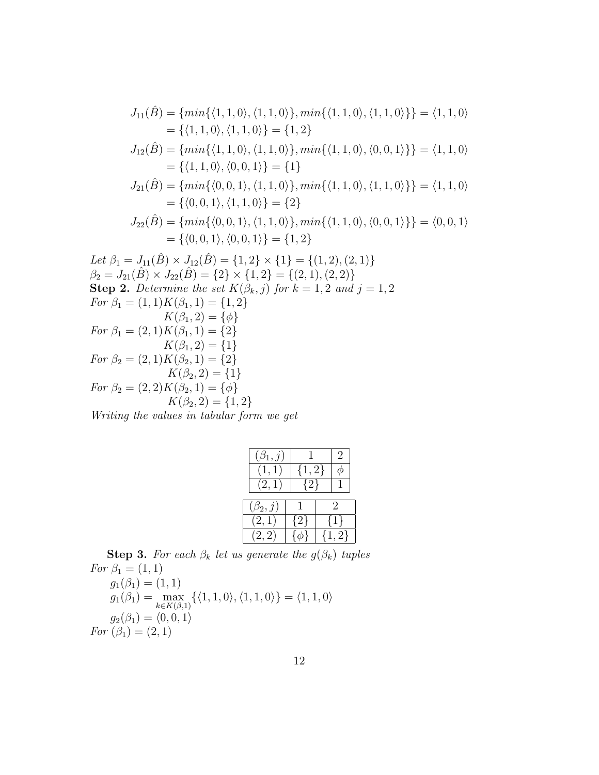$$
J_{11}(\hat{B}) = \{min\{\langle 1, 1, 0 \rangle, \langle 1, 1, 0 \rangle\}, min\{\langle 1, 1, 0 \rangle, \langle 1, 1, 0 \rangle\}\} = \langle 1, 1, 0 \rangle
$$
  
\n
$$
= \{\langle 1, 1, 0 \rangle, \langle 1, 1, 0 \rangle\} = \{1, 2\}
$$
  
\n
$$
J_{12}(\hat{B}) = \{min\{\langle 1, 1, 0 \rangle, \langle 1, 1, 0 \rangle\}, min\{\langle 1, 1, 0 \rangle, \langle 0, 0, 1 \rangle\}\} = \langle 1, 1, 0 \rangle
$$
  
\n
$$
= \{\langle 1, 1, 0 \rangle, \langle 0, 0, 1 \rangle\} = \{1\}
$$
  
\n
$$
J_{21}(\hat{B}) = \{min\{\langle 0, 0, 1 \rangle, \langle 1, 1, 0 \rangle\}, min\{\langle 1, 1, 0 \rangle, \langle 1, 1, 0 \rangle\}\} = \langle 1, 1, 0 \rangle
$$
  
\n
$$
= \{\langle 0, 0, 1 \rangle, \langle 1, 1, 0 \rangle\} = \{2\}
$$
  
\n
$$
J_{22}(\hat{B}) = \{min\{\langle 0, 0, 1 \rangle, \langle 1, 1, 0 \rangle\}, min\{\langle 1, 1, 0 \rangle, \langle 0, 0, 1 \rangle\}\} = \langle 0, 0, 1 \rangle
$$
  
\n
$$
= \{\langle 0, 0, 1 \rangle, \langle 0, 0, 1 \rangle\} = \{1, 2\}
$$
  
\nLet  $\beta_1 = J_{11}(\hat{B}) \times J_{12}(\hat{B}) = \{1, 2\} \times \{1\} = \{(1, 2), (2, 1)\}$   
\n $\beta_2 = J_{21}(\hat{B}) \times J_{22}(\hat{B}) = \{2\} \times \{1, 2\} = \{(2, 1), (2, 2)\}$   
\nStep 2. Determine the set  $K(\beta_k, j)$  for  $k = 1, 2$  and  $j = 1, 2$   
\nFor  $\beta_1 = ($ 

Writing the values in tabular form we get

| $(\beta_1, j)$ |           | $\cdot$   |
|----------------|-----------|-----------|
| (1,1)          | $\{1,2\}$ |           |
| (2,1)          | ${2}$     |           |
| $(\beta_2, j)$ |           | 2         |
|                |           |           |
| (2,1)          | $\{2\}$   | ${1}$     |
| (2, 2)         |           | $\{1,2\}$ |

**Step 3.** For each  $\beta_k$  let us generate the  $g(\beta_k)$  tuples For  $\beta_1 = (1, 1)$ 

 $g_1(\beta_1) = (1, 1)$  $g_1(\beta_1) = \max_{k \in K(\beta,1)} \{ \langle 1, 1, 0 \rangle, \langle 1, 1, 0 \rangle \} = \langle 1, 1, 0 \rangle$  $g_2(\beta_1) = \langle 0, 0, 1 \rangle$ For  $(\beta_1) = (2, 1)$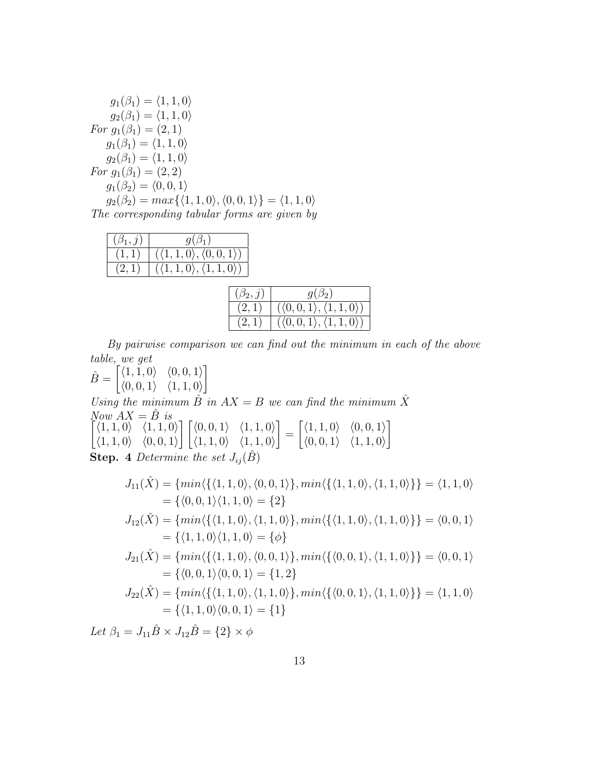| $g_1(\beta_1) = \langle 1, 1, 0 \rangle$                                                           |
|----------------------------------------------------------------------------------------------------|
| $g_2(\beta_1) = \langle 1, 1, 0 \rangle$                                                           |
| For $g_1(\beta_1) = (2, 1)$                                                                        |
| $g_1(\beta_1) = \langle 1, 1, 0 \rangle$                                                           |
| $q_2(\beta_1) = \langle 1, 1, 0 \rangle$                                                           |
| For $g_1(\beta_1) = (2, 2)$                                                                        |
| $q_1(\beta_2) = \langle 0, 0, 1 \rangle$                                                           |
| $g_2(\beta_2) = max\{\langle 1, 1, 0 \rangle, \langle 0, 0, 1 \rangle\} = \langle 1, 1, 0 \rangle$ |
| The corresponding tabular forms are given by                                                       |

| $q(\beta_1)$                                  |
|-----------------------------------------------|
| $(\langle 1,1,0\rangle,\langle 0,0,1\rangle)$ |
| $(\langle 1,1,0\rangle,\langle 1,1,0\rangle)$ |

| $(\beta_2, j)$ | $g(\beta_2)$                                     |
|----------------|--------------------------------------------------|
| (2,1)          | $(\langle 0,0,1 \rangle, \langle 1,1,0 \rangle)$ |
| (2,1)          | $(\langle 0,0,1 \rangle, \langle 1,1,0 \rangle)$ |

By pairwise comparison we can find out the minimum in each of the above table, we get

 $\hat{B} = \begin{bmatrix} \langle 1, 1, 0 \rangle & \langle 0, 0, 1 \rangle \\ \langle 0, 0, 1 \rangle & \langle 1, 1, 0 \rangle \end{bmatrix}$  $\langle 0, 0, 1 \rangle$   $\langle 1, 1, 0 \rangle$ ]

Using the minimum  $\hat{B}$  in  $AX = B$  we can find the minimum  $\hat{X}$  $Now$   $\overrightarrow{AX} = \hat{B}$  is<br> $\begin{bmatrix} \langle 1, 1, 0 \rangle \end{bmatrix}$   $\begin{bmatrix} 1, 1, 0 \end{bmatrix}$ ] ]

 $\langle 1, 1, 0 \rangle \quad \langle 1, 1, 0 \rangle$  $\langle 1, 1, 0 \rangle$   $\langle 0, 0, 1 \rangle$  $\begin{array}{cc} \begin{array}{cc} \end{array} \end{array}$   $(0,0,1)$   $(1,1,0)$  $\langle 1, 1, 0 \rangle$   $\langle 1, 1, 0 \rangle$ =  $\left[ \langle 1, 1, 0 \rangle \right] \langle 0, 0, 1 \rangle$  $\langle 0, 0, 1 \rangle$   $\langle 1, 1, 0 \rangle$ 

**Step.** 4 Determine the set  $J_{ij}(\hat{B})$ 

$$
J_{11}(\hat{X}) = \{ min \langle \{ \langle 1, 1, 0 \rangle, \langle 0, 0, 1 \rangle \}, min \langle \{ \langle 1, 1, 0 \rangle, \langle 1, 1, 0 \rangle \} \} = \langle 1, 1, 0 \rangle
$$
  
\n
$$
= \{ \langle 0, 0, 1 \rangle \langle 1, 1, 0 \rangle = \{ 2 \}
$$
  
\n
$$
J_{12}(\hat{X}) = \{ min \langle \{ \langle 1, 1, 0 \rangle, \langle 1, 1, 0 \rangle \}, min \langle \{ \langle 1, 1, 0 \rangle, \langle 1, 1, 0 \rangle \} \} = \langle 0, 0, 1 \rangle
$$
  
\n
$$
= \{ \langle 1, 1, 0 \rangle \langle 1, 1, 0 \rangle = \{ \phi \}
$$
  
\n
$$
J_{21}(\hat{X}) = \{ min \langle \{ \langle 1, 1, 0 \rangle, \langle 0, 0, 1 \rangle \}, min \langle \{ \langle 0, 0, 1 \rangle, \langle 1, 1, 0 \rangle \} \} = \langle 0, 0, 1 \rangle
$$
  
\n
$$
= \{ \langle 0, 0, 1 \rangle \langle 0, 0, 1 \rangle = \{ 1, 2 \}
$$
  
\n
$$
J_{22}(\hat{X}) = \{ min \langle \{ \langle 1, 1, 0 \rangle, \langle 1, 1, 0 \rangle \}, min \langle \{ \langle 0, 0, 1 \rangle, \langle 1, 1, 0 \rangle \} \} = \langle 1, 1, 0 \rangle
$$
  
\n
$$
= \{ \langle 1, 1, 0 \rangle \langle 0, 0, 1 \rangle = \{ 1 \}
$$

Let  $\beta_1 = J_{11} \hat{B} \times J_{12} \hat{B} = \{2\} \times \phi$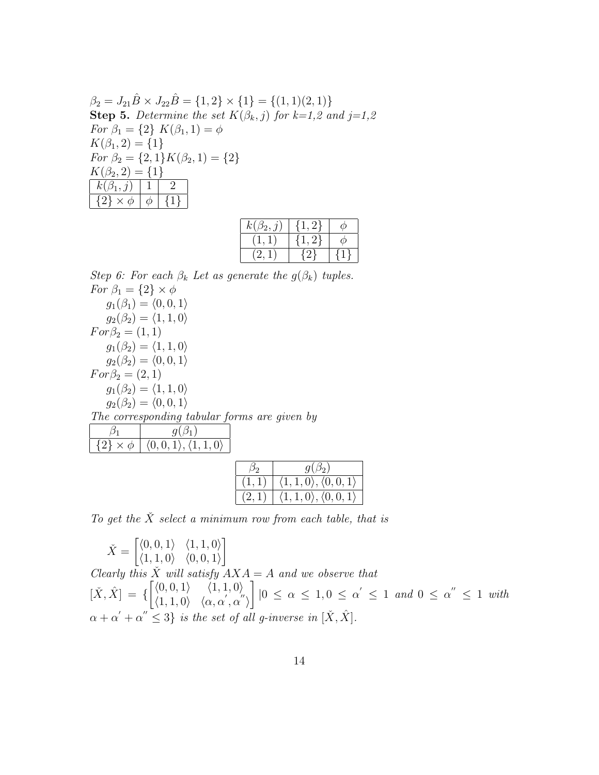$$
\beta_2 = J_{21}\hat{B} \times J_{22}\hat{B} = \{1, 2\} \times \{1\} = \{(1, 1)(2, 1)\}
$$
  
\n**Step 5.** Determine the set  $K(\beta_k, j)$  for  $k=1, 2$  and  $j=1, 2$   
\nFor  $\beta_1 = \{2\}$   $K(\beta_1, 1) = \phi$   
\n $K(\beta_1, 2) = \{1\}$   
\nFor  $\beta_2 = \{2, 1\}$   $K(\beta_2, 1) = \{2\}$   
\n $K(\beta_2, 2) = \{1\}$   
\n $\{k(\beta_1, j) | 1 | 2 | \{2\} \times \phi | \phi | \{1\}$ 

| $k(\beta_2, j)$ | – '2 t  |  |
|-----------------|---------|--|
|                 | - 21    |  |
|                 | $\{2\}$ |  |

Step 6: For each  $\beta_k$  Let as generate the  $g(\beta_k)$  tuples. For  $\beta_1 = \{2\} \times \phi$  $g_1(\beta_1) = \langle 0, 0, 1 \rangle$  $g_2(\beta_2) = \langle 1, 1, 0 \rangle$  $For \beta_2 = (1, 1)$ 

 $g_1(\beta_2) = \langle 1, 1, 0 \rangle$  $g_2(\beta_2) = \langle 0, 0, 1 \rangle$  $For \beta_2 = (2, 1)$  $g_1(\beta_2) = \langle 1, 1, 0 \rangle$  $g_2(\beta_2) = \langle 0, 0, 1 \rangle$ The corresponding tabular forms are given by

| $\{2\} \times \phi \mid \langle 0,0,1 \rangle, \langle 1,1,0 \rangle$ |  |
|-----------------------------------------------------------------------|--|

| $\beta_2$ | $g(\beta_2)$                                       |
|-----------|----------------------------------------------------|
|           | $\langle 1,1,0\rangle, \langle 0,0,1\rangle$       |
|           | $\langle 1, 1, 0 \rangle, \langle 0, 0, 1 \rangle$ |

To get the  $\check{X}$  select a minimum row from each table, that is

 $\check{X} = \begin{bmatrix} \langle 0, 0, 1 \rangle & \langle 1, 1, 0 \rangle \\ \langle 1, 1, 0 \rangle & \langle 0, 0, 1 \rangle \end{bmatrix}$  $\langle 1, 1, 0 \rangle$   $\langle 0, 0, 1 \rangle$ ] Clearly this  $\check{X}$  will satisfy  $\overline{A} X A = A$  and we observe that  $[\check{X}, \hat{X}] = \left\{ \begin{bmatrix} \langle 0, 0, 1 \rangle & \langle 1, 1, 0 \rangle \\ \langle 1, 1, 0 \rangle & \langle 1, 1, 0 \rangle \end{bmatrix} \right\}$  $\langle 1, 1, 0 \rangle \quad \langle \alpha, \alpha', \alpha'' \rangle$ ]  $|0 \leq \alpha \leq 1, 0 \leq \alpha' \leq 1$  and  $0 \leq \alpha'' \leq 1$  with  $\alpha+\alpha^{'}+\alpha^{''}\leq3\}$  is the set of all g-inverse in  $[\check{X},\hat{X}].$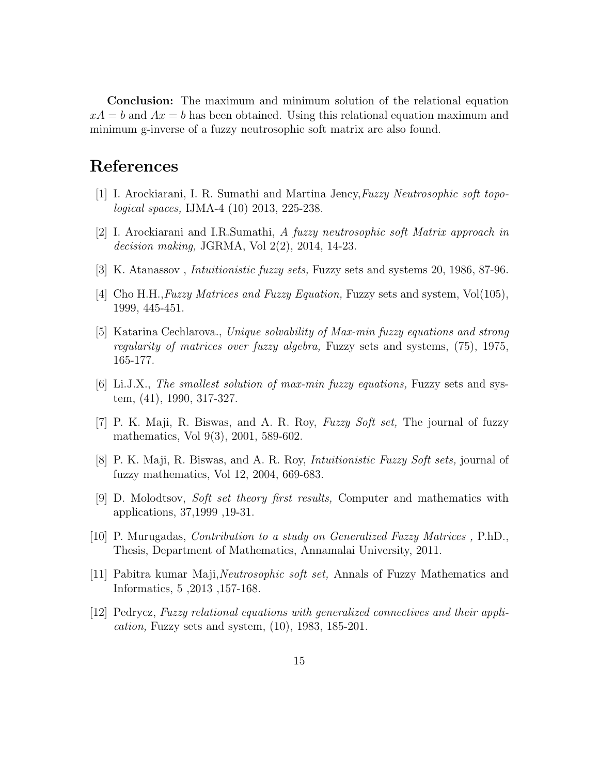Conclusion: The maximum and minimum solution of the relational equation  $xA = b$  and  $Ax = b$  has been obtained. Using this relational equation maximum and minimum g-inverse of a fuzzy neutrosophic soft matrix are also found.

## References

- [1] I. Arockiarani, I. R. Sumathi and Martina Jency,Fuzzy Neutrosophic soft topological spaces, IJMA-4 (10) 2013, 225-238.
- [2] I. Arockiarani and I.R.Sumathi, A fuzzy neutrosophic soft Matrix approach in decision making, JGRMA, Vol 2(2), 2014, 14-23.
- [3] K. Atanassov , Intuitionistic fuzzy sets, Fuzzy sets and systems 20, 1986, 87-96.
- [4] Cho H.H., Fuzzy Matrices and Fuzzy Equation, Fuzzy sets and system,  $Vol(105)$ , 1999, 445-451.
- [5] Katarina Cechlarova., Unique solvability of Max-min fuzzy equations and strong regularity of matrices over fuzzy algebra, Fuzzy sets and systems, (75), 1975, 165-177.
- [6] Li.J.X., The smallest solution of max-min fuzzy equations, Fuzzy sets and system, (41), 1990, 317-327.
- [7] P. K. Maji, R. Biswas, and A. R. Roy, Fuzzy Soft set, The journal of fuzzy mathematics, Vol 9(3), 2001, 589-602.
- [8] P. K. Maji, R. Biswas, and A. R. Roy, Intuitionistic Fuzzy Soft sets, journal of fuzzy mathematics, Vol 12, 2004, 669-683.
- [9] D. Molodtsov, Soft set theory first results, Computer and mathematics with applications, 37,1999 ,19-31.
- [10] P. Murugadas, Contribution to a study on Generalized Fuzzy Matrices , P.hD., Thesis, Department of Mathematics, Annamalai University, 2011.
- [11] Pabitra kumar Maji,Neutrosophic soft set, Annals of Fuzzy Mathematics and Informatics, 5 ,2013 ,157-168.
- [12] Pedrycz, Fuzzy relational equations with generalized connectives and their appli*cation*, Fuzzy sets and system,  $(10)$ , 1983, 185-201.